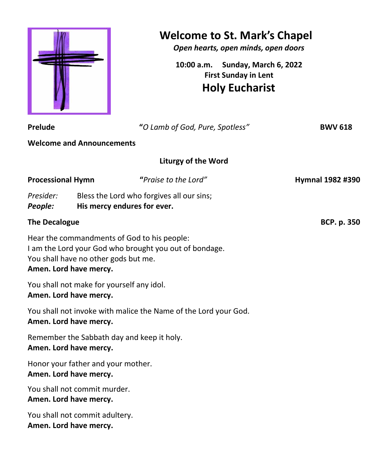

# **Welcome to St. Mark's Chapel**

*Open hearts, open minds, open doors*

**10:00 a.m. Sunday, March 6, 2022 First Sunday in Lent Holy Eucharist**

| <b>Prelude</b>                                                 |  | "O Lamb of God, Pure, Spotless"                                                                       | <b>BWV 618</b>   |
|----------------------------------------------------------------|--|-------------------------------------------------------------------------------------------------------|------------------|
| <b>Welcome and Announcements</b>                               |  |                                                                                                       |                  |
|                                                                |  | <b>Liturgy of the Word</b>                                                                            |                  |
| <b>Processional Hymn</b>                                       |  | "Praise to the Lord"                                                                                  | Hymnal 1982 #390 |
| Presider:<br>People:                                           |  |                                                                                                       |                  |
| <b>The Decalogue</b>                                           |  | <b>BCP. p. 350</b>                                                                                    |                  |
| You shall have no other gods but me.<br>Amen. Lord have mercy. |  | Hear the commandments of God to his people:<br>I am the Lord your God who brought you out of bondage. |                  |
| Amen. Lord have mercy.                                         |  | You shall not make for yourself any idol.                                                             |                  |
| Amen. Lord have mercy.                                         |  | You shall not invoke with malice the Name of the Lord your God.                                       |                  |
| Amen. Lord have mercy.                                         |  | Remember the Sabbath day and keep it holy.                                                            |                  |
| Honor your father and your mother.<br>Amen. Lord have mercy.   |  |                                                                                                       |                  |
| You shall not commit murder.<br>Amen. Lord have mercy.         |  |                                                                                                       |                  |
| You shall not commit adultery.<br>Amen. Lord have mercy.       |  |                                                                                                       |                  |
|                                                                |  |                                                                                                       |                  |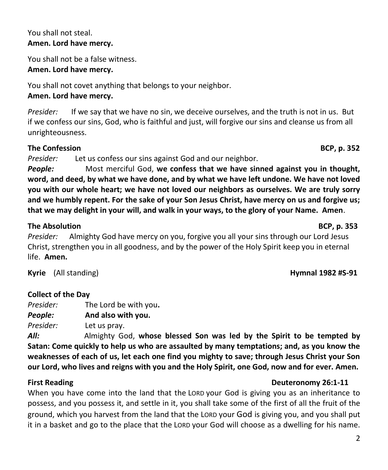You shall not steal. **Amen. Lord have mercy.**

You shall not be a false witness. **Amen. Lord have mercy.**

You shall not covet anything that belongs to your neighbor.

## **Amen. Lord have mercy.**

*Presider:* If we say that we have no sin, we deceive ourselves, and the truth is not in us. But if we confess our sins, God, who is faithful and just, will forgive our sins and cleanse us from all unrighteousness.

### **The Confession BCP, p. 352**

*Presider:* Let us confess our sins against God and our neighbor.

*People:* **Most merciful God, we confess that we have sinned against you in thought, word, and deed, by what we have done, and by what we have left undone. We have not loved you with our whole heart; we have not loved our neighbors as ourselves. We are truly sorry and we humbly repent. For the sake of your Son Jesus Christ, have mercy on us and forgive us; that we may delight in your will, and walk in your ways, to the glory of your Name. Amen**.

### **The Absolution BCP, p. 353**

*Presider:* Almighty God have mercy on you, forgive you all your sins through our Lord Jesus Christ, strengthen you in all goodness, and by the power of the Holy Spirit keep you in eternal life. **Amen.**

**Kyrie** (All standing) **Hymnal 1982 #S-91**

# **Collect of the Day**

*Presider:* The Lord be with you**.** 

*People:* **And also with you.** 

*Presider:* Let us pray.

*All:*Almighty God, **whose blessed Son was led by the Spirit to be tempted by Satan: Come quickly to help us who are assaulted by many temptations; and, as you know the weaknesses of each of us, let each one find you mighty to save; through Jesus Christ your Son our Lord, who lives and reigns with you and the Holy Spirit, one God, now and for ever. Amen.**

### **First Reading Deuteronomy 26:1-11**

When you have come into the land that the LORD your God is giving you as an inheritance to possess, and you possess it, and settle in it, you shall take some of the first of all the fruit of the ground, which you harvest from the land that the LORD your God is giving you, and you shall put it in a basket and go to the place that the LORD your God will choose as a dwelling for his name.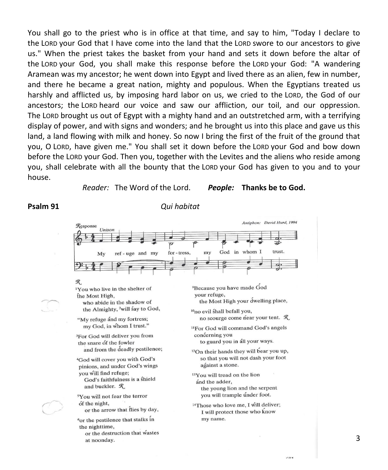You shall go to the priest who is in office at that time, and say to him, "Today I declare to the LORD your God that I have come into the land that the LORD swore to our ancestors to give us." When the priest takes the basket from your hand and sets it down before the altar of the LORD your God, you shall make this response before the LORD your God: "A wandering Aramean was my ancestor; he went down into Egypt and lived there as an alien, few in number, and there he became a great nation, mighty and populous. When the Egyptians treated us harshly and afflicted us, by imposing hard labor on us, we cried to the LORD, the God of our ancestors; the LORD heard our voice and saw our affliction, our toil, and our oppression. The LORD brought us out of Egypt with a mighty hand and an outstretched arm, with a terrifying display of power, and with signs and wonders; and he brought us into this place and gave us this land, a land flowing with milk and honey. So now I bring the first of the fruit of the ground that you, O LORD, have given me." You shall set it down before the LORD your God and bow down before the LORD your God. Then you, together with the Levites and the aliens who reside among you, shall celebrate with all the bounty that the LORD your God has given to you and to your house.

#### *Reader:* The Word of the Lord. *People:* **Thanks be to God.**

#### **Psalm 91** *Qui habitat*

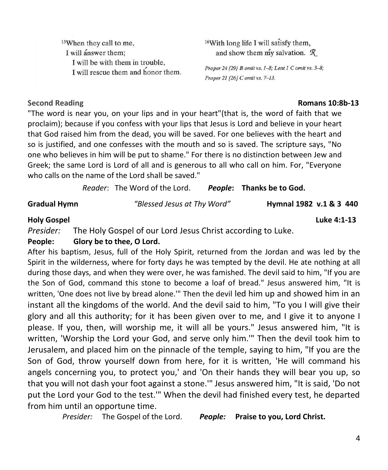<sup>15</sup>When they call to me, I will answer them: I will be with them in trouble. I will rescue them and honor them. <sup>16</sup>With long life I will satisfy them, and show them my salvation.  $\mathcal{R}_{\perp}$ 

Proper 24 [29] B omit vs. 1-8; Lent 1 C omit vs. 3-8; Proper 21 [26] C omit vs. 7-13.

"The word is near you, on your lips and in your heart"(that is, the word of faith that we proclaim); because if you confess with your lips that Jesus is Lord and believe in your heart that God raised him from the dead, you will be saved. For one believes with the heart and so is justified, and one confesses with the mouth and so is saved. The scripture says, "No one who believes in him will be put to shame." For there is no distinction between Jew and Greek; the same Lord is Lord of all and is generous to all who call on him. For, "Everyone who calls on the name of the Lord shall be saved."

### *Reader*: The Word of the Lord. *People***: Thanks be to God.**

**Gradual Hymn** *"Blessed Jesus at Thy Word"* **Hymnal 1982 v.1 & 3 440**

### **Holy Gospel Luke 4:1-13**

*Presider:* The Holy Gospel of our Lord Jesus Christ according to Luke.

### **People: Glory be to thee, O Lord.**

After his baptism, Jesus, full of the Holy Spirit, returned from the Jordan and was led by the Spirit in the wilderness, where for forty days he was tempted by the devil. He ate nothing at all during those days, and when they were over, he was famished. The devil said to him, "If you are the Son of God, command this stone to become a loaf of bread." Jesus answered him, "It is written, 'One does not live by bread alone.'" Then the devil led him up and showed him in an instant all the kingdoms of the world. And the devil said to him, "To you I will give their glory and all this authority; for it has been given over to me, and I give it to anyone I please. If you, then, will worship me, it will all be yours." Jesus answered him, "It is written, 'Worship the Lord your God, and serve only him.'" Then the devil took him to Jerusalem, and placed him on the pinnacle of the temple, saying to him, "If you are the Son of God, throw yourself down from here, for it is written, 'He will command his angels concerning you, to protect you,' and 'On their hands they will bear you up, so that you will not dash your foot against a stone.'" Jesus answered him, "It is said, 'Do not put the Lord your God to the test.'" When the devil had finished every test, he departed from him until an opportune time.

*Presider:* The Gospel of the Lord. *People:* **Praise to you, Lord Christ.**

4

### **Second Reading Romans 10:8b-13**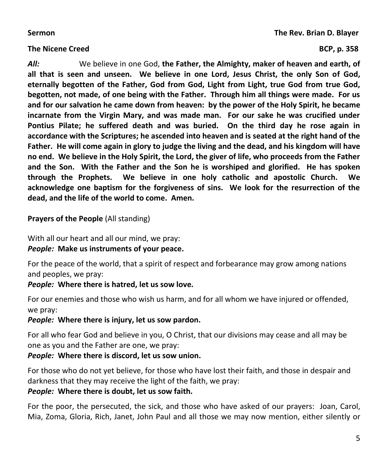#### **The Nicene Creed BCP, p. 358 BCP, p. 358**

*All:*We believe in one God, **the Father, the Almighty, maker of heaven and earth, of all that is seen and unseen. We believe in one Lord, Jesus Christ, the only Son of God, eternally begotten of the Father, God from God, Light from Light, true God from true God, begotten, not made, of one being with the Father. Through him all things were made. For us and for our salvation he came down from heaven: by the power of the Holy Spirit, he became incarnate from the Virgin Mary, and was made man. For our sake he was crucified under Pontius Pilate; he suffered death and was buried. On the third day he rose again in accordance with the Scriptures; he ascended into heaven and is seated at the right hand of the Father. He will come again in glory to judge the living and the dead, and his kingdom will have no end. We believe in the Holy Spirit, the Lord, the giver of life, who proceeds from the Father and the Son. With the Father and the Son he is worshiped and glorified. He has spoken through the Prophets. We believe in one holy catholic and apostolic Church. We acknowledge one baptism for the forgiveness of sins. We look for the resurrection of the dead, and the life of the world to come. Amen.**

### **Prayers of the People** (All standing)

With all our heart and all our mind, we pray: *People:* **Make us instruments of your peace.**

For the peace of the world, that a spirit of respect and forbearance may grow among nations and peoples, we pray:

### *People:* **Where there is hatred, let us sow love.**

For our enemies and those who wish us harm, and for all whom we have injured or offended, we pray:

### *People:* **Where there is injury, let us sow pardon.**

For all who fear God and believe in you, O Christ, that our divisions may cease and all may be one as you and the Father are one, we pray:

### *People:* **Where there is discord, let us sow union.**

For those who do not yet believe, for those who have lost their faith, and those in despair and darkness that they may receive the light of the faith, we pray:

### *People:* **Where there is doubt, let us sow faith.**

For the poor, the persecuted, the sick, and those who have asked of our prayers: Joan, Carol, Mia, Zoma, Gloria, Rich, Janet, John Paul and all those we may now mention, either silently or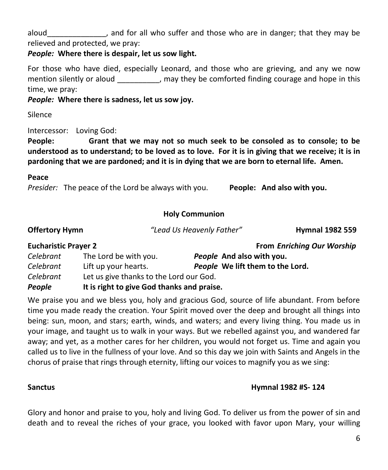aloud all who suffer and those who are in danger; that they may be all who suffer and those who are in danger; that they may be relieved and protected, we pray:

#### *People:* **Where there is despair, let us sow light.**

For those who have died, especially Leonard, and those who are grieving, and any we now mention silently or aloud \_\_\_\_\_\_\_\_\_, may they be comforted finding courage and hope in this time, we pray:

*People:* **Where there is sadness, let us sow joy.**

Silence

Intercessor: Loving God:

**People: Grant that we may not so much seek to be consoled as to console; to be understood as to understand; to be loved as to love. For it is in giving that we receive; it is in pardoning that we are pardoned; and it is in dying that we are born to eternal life. Amen.**

#### **Peace**

*Presider:* The peace of the Lord be always with you. **People: And also with you.** 

### **Holy Communion**

| <b>Offertory Hymn</b>       |                       | "Lead Us Heavenly Father"                  | <b>Hymnal 1982 559</b>     |  |  |  |
|-----------------------------|-----------------------|--------------------------------------------|----------------------------|--|--|--|
| <b>Eucharistic Prayer 2</b> |                       |                                            | From Enriching Our Worship |  |  |  |
| Celebrant                   | The Lord be with you. | People And also with you.                  |                            |  |  |  |
| Celebrant                   | Lift up your hearts.  | People We lift them to the Lord.           |                            |  |  |  |
| Celebrant                   |                       | Let us give thanks to the Lord our God.    |                            |  |  |  |
| People                      |                       | It is right to give God thanks and praise. |                            |  |  |  |

We praise you and we bless you, holy and gracious God, source of life abundant. From before time you made ready the creation. Your Spirit moved over the deep and brought all things into being: sun, moon, and stars; earth, winds, and waters; and every living thing. You made us in your image, and taught us to walk in your ways. But we rebelled against you, and wandered far away; and yet, as a mother cares for her children, you would not forget us. Time and again you called us to live in the fullness of your love. And so this day we join with Saints and Angels in the chorus of praise that rings through eternity, lifting our voices to magnify you as we sing:

### **Sanctus Hymnal 1982 #S- 124**

Glory and honor and praise to you, holy and living God. To deliver us from the power of sin and death and to reveal the riches of your grace, you looked with favor upon Mary, your willing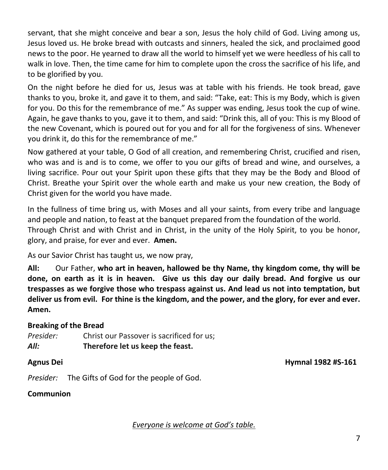servant, that she might conceive and bear a son, Jesus the holy child of God. Living among us, Jesus loved us. He broke bread with outcasts and sinners, healed the sick, and proclaimed good news to the poor. He yearned to draw all the world to himself yet we were heedless of his call to walk in love. Then, the time came for him to complete upon the cross the sacrifice of his life, and to be glorified by you.

On the night before he died for us, Jesus was at table with his friends. He took bread, gave thanks to you, broke it, and gave it to them, and said: "Take, eat: This is my Body, which is given for you. Do this for the remembrance of me." As supper was ending, Jesus took the cup of wine. Again, he gave thanks to you, gave it to them, and said: "Drink this, all of you: This is my Blood of the new Covenant, which is poured out for you and for all for the forgiveness of sins. Whenever you drink it, do this for the remembrance of me."

Now gathered at your table, O God of all creation, and remembering Christ, crucified and risen, who was and is and is to come, we offer to you our gifts of bread and wine, and ourselves, a living sacrifice. Pour out your Spirit upon these gifts that they may be the Body and Blood of Christ. Breathe your Spirit over the whole earth and make us your new creation, the Body of Christ given for the world you have made.

In the fullness of time bring us, with Moses and all your saints, from every tribe and language and people and nation, to feast at the banquet prepared from the foundation of the world. Through Christ and with Christ and in Christ, in the unity of the Holy Spirit, to you be honor, glory, and praise, for ever and ever. **Amen.**

As our Savior Christ has taught us, we now pray,

**All:** Our Father, **who art in heaven, hallowed be thy Name, thy kingdom come, thy will be done, on earth as it is in heaven. Give us this day our daily bread. And forgive us our trespasses as we forgive those who trespass against us. And lead us not into temptation, but deliver us from evil. For thine is the kingdom, and the power, and the glory, for ever and ever. Amen.**

### **Breaking of the Bread**

*Presider:* Christ our Passover is sacrificed for us; *All:* **Therefore let us keep the feast.**

**Agnus Dei Hymnal 1982 #S-161**

*Presider:* The Gifts of God for the people of God.

**Communion**

*Everyone is welcome at God's table.*